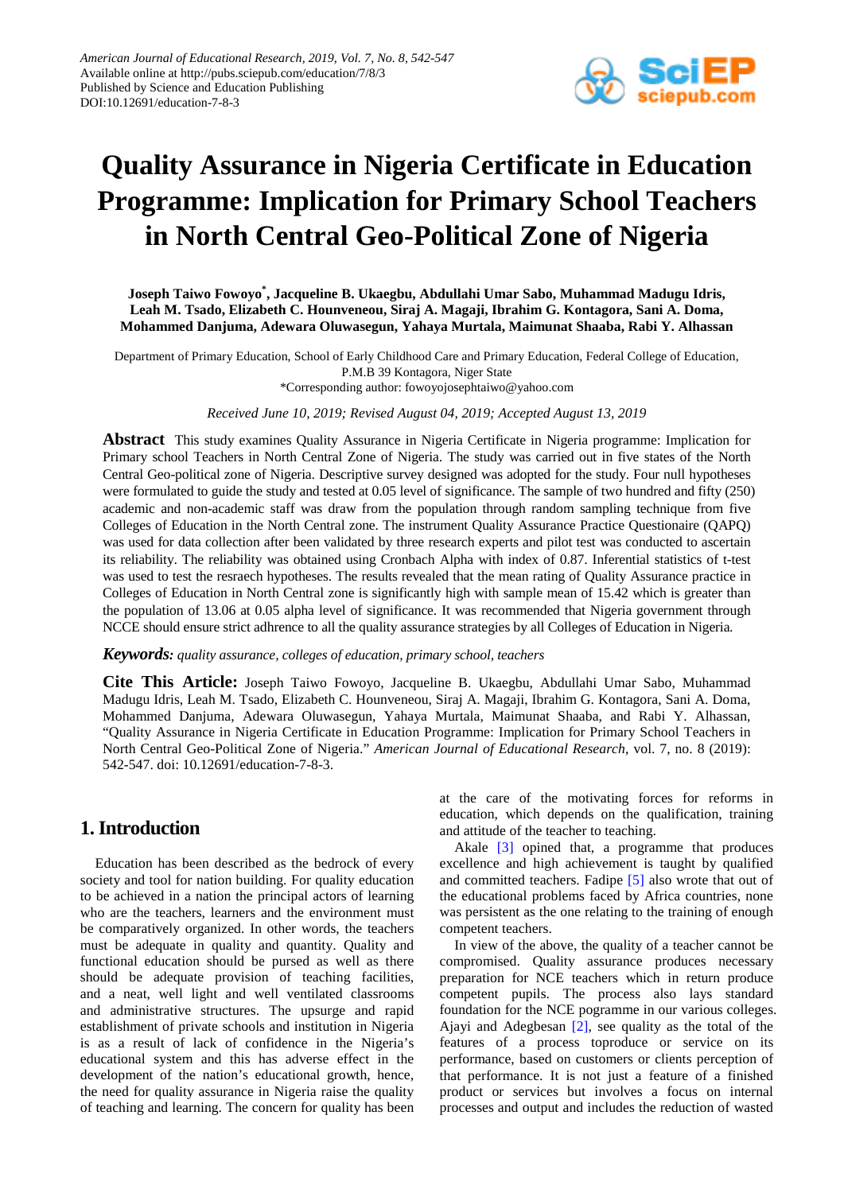

# **Quality Assurance in Nigeria Certificate in Education Programme: Implication for Primary School Teachers in North Central Geo-Political Zone of Nigeria**

**Joseph Taiwo Fowoyo\* , Jacqueline B. Ukaegbu, Abdullahi Umar Sabo, Muhammad Madugu Idris, Leah M. Tsado, Elizabeth C. Hounveneou, Siraj A. Magaji, Ibrahim G. Kontagora, Sani A. Doma, Mohammed Danjuma, Adewara Oluwasegun, Yahaya Murtala, Maimunat Shaaba, Rabi Y. Alhassan**

Department of Primary Education, School of Early Childhood Care and Primary Education, Federal College of Education, P.M.B 39 Kontagora, Niger State \*Corresponding author: fowoyojosephtaiwo@yahoo.com

*Received June 10, 2019; Revised August 04, 2019; Accepted August 13, 2019*

**Abstract** This study examines Quality Assurance in Nigeria Certificate in Nigeria programme: Implication for Primary school Teachers in North Central Zone of Nigeria. The study was carried out in five states of the North Central Geo-political zone of Nigeria. Descriptive survey designed was adopted for the study. Four null hypotheses were formulated to guide the study and tested at 0.05 level of significance. The sample of two hundred and fifty (250) academic and non-academic staff was draw from the population through random sampling technique from five Colleges of Education in the North Central zone. The instrument Quality Assurance Practice Questionaire (QAPQ) was used for data collection after been validated by three research experts and pilot test was conducted to ascertain its reliability. The reliability was obtained using Cronbach Alpha with index of 0.87. Inferential statistics of t-test was used to test the resraech hypotheses. The results revealed that the mean rating of Quality Assurance practice in Colleges of Education in North Central zone is significantly high with sample mean of 15.42 which is greater than the population of 13.06 at 0.05 alpha level of significance. It was recommended that Nigeria government through NCCE should ensure strict adhrence to all the quality assurance strategies by all Colleges of Education in Nigeria*.*

#### *Keywords: quality assurance, colleges of education, primary school, teachers*

**Cite This Article:** Joseph Taiwo Fowoyo, Jacqueline B. Ukaegbu, Abdullahi Umar Sabo, Muhammad Madugu Idris, Leah M. Tsado, Elizabeth C. Hounveneou, Siraj A. Magaji, Ibrahim G. Kontagora, Sani A. Doma, Mohammed Danjuma, Adewara Oluwasegun, Yahaya Murtala, Maimunat Shaaba, and Rabi Y. Alhassan, "Quality Assurance in Nigeria Certificate in Education Programme: Implication for Primary School Teachers in North Central Geo-Political Zone of Nigeria." *American Journal of Educational Research*, vol. 7, no. 8 (2019): 542-547. doi: 10.12691/education-7-8-3.

# **1. Introduction**

Education has been described as the bedrock of every society and tool for nation building. For quality education to be achieved in a nation the principal actors of learning who are the teachers, learners and the environment must be comparatively organized. In other words, the teachers must be adequate in quality and quantity. Quality and functional education should be pursed as well as there should be adequate provision of teaching facilities, and a neat, well light and well ventilated classrooms and administrative structures. The upsurge and rapid establishment of private schools and institution in Nigeria is as a result of lack of confidence in the Nigeria's educational system and this has adverse effect in the development of the nation's educational growth, hence, the need for quality assurance in Nigeria raise the quality of teaching and learning. The concern for quality has been at the care of the motivating forces for reforms in education, which depends on the qualification, training and attitude of the teacher to teaching.

Akale [\[3\]](#page-4-0) opined that, a programme that produces excellence and high achievement is taught by qualified and committed teachers. Fadipe [\[5\]](#page-4-1) also wrote that out of the educational problems faced by Africa countries, none was persistent as the one relating to the training of enough competent teachers.

In view of the above, the quality of a teacher cannot be compromised. Quality assurance produces necessary preparation for NCE teachers which in return produce competent pupils. The process also lays standard foundation for the NCE pogramme in our various colleges. Ajayi and Adegbesan [\[2\],](#page-4-2) see quality as the total of the features of a process toproduce or service on its performance, based on customers or clients perception of that performance. It is not just a feature of a finished product or services but involves a focus on internal processes and output and includes the reduction of wasted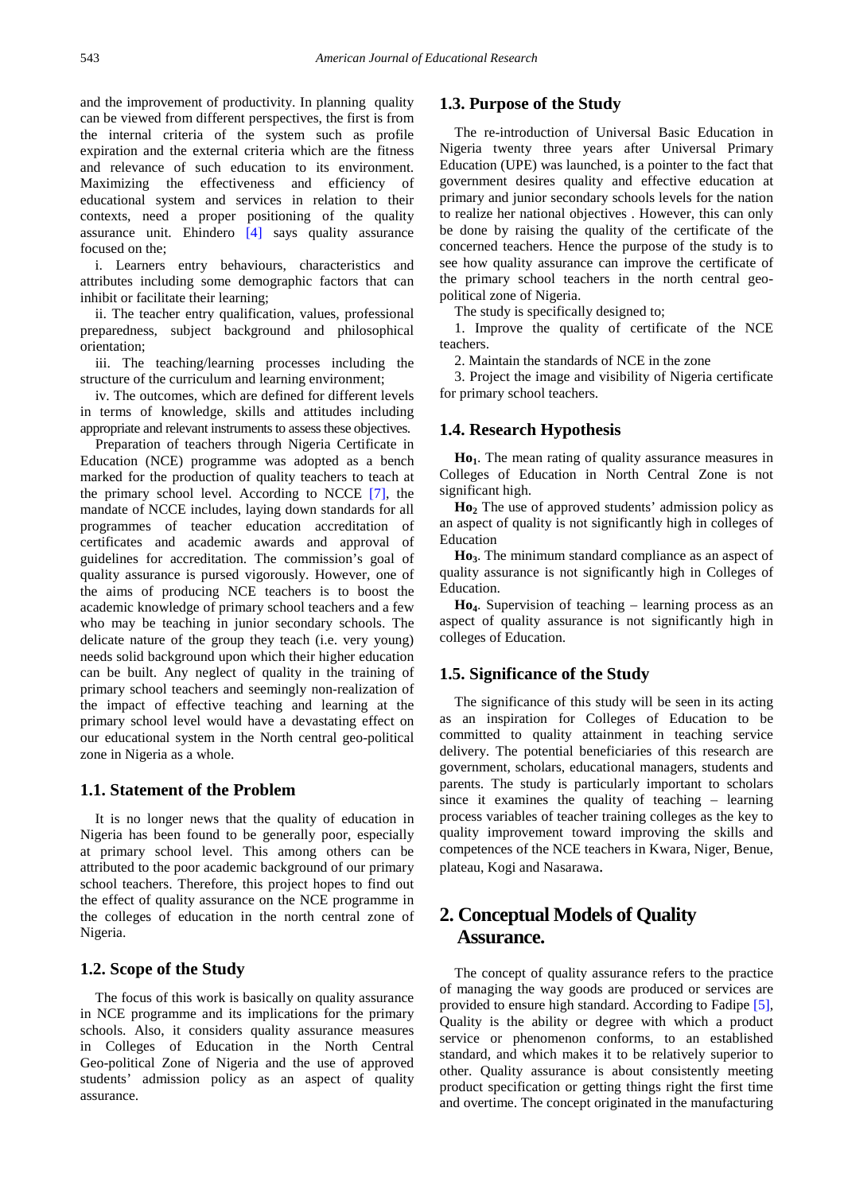and the improvement of productivity. In planning quality can be viewed from different perspectives, the first is from the internal criteria of the system such as profile expiration and the external criteria which are the fitness and relevance of such education to its environment. Maximizing the effectiveness and efficiency of educational system and services in relation to their contexts, need a proper positioning of the quality assurance unit. Ehindero [\[4\]](#page-4-3) says quality assurance focused on the;

i. Learners entry behaviours, characteristics and attributes including some demographic factors that can inhibit or facilitate their learning;

ii. The teacher entry qualification, values, professional preparedness, subject background and philosophical orientation;

iii. The teaching/learning processes including the structure of the curriculum and learning environment;

iv. The outcomes, which are defined for different levels in terms of knowledge, skills and attitudes including appropriate and relevant instruments to assess these objectives.

Preparation of teachers through Nigeria Certificate in Education (NCE) programme was adopted as a bench marked for the production of quality teachers to teach at the primary school level. According to NCCE [\[7\],](#page-4-4) the mandate of NCCE includes, laying down standards for all programmes of teacher education accreditation of certificates and academic awards and approval of guidelines for accreditation. The commission's goal of quality assurance is pursed vigorously. However, one of the aims of producing NCE teachers is to boost the academic knowledge of primary school teachers and a few who may be teaching in junior secondary schools. The delicate nature of the group they teach (i.e. very young) needs solid background upon which their higher education can be built. Any neglect of quality in the training of primary school teachers and seemingly non-realization of the impact of effective teaching and learning at the primary school level would have a devastating effect on our educational system in the North central geo-political zone in Nigeria as a whole.

## **1.1. Statement of the Problem**

It is no longer news that the quality of education in Nigeria has been found to be generally poor, especially at primary school level. This among others can be attributed to the poor academic background of our primary school teachers. Therefore, this project hopes to find out the effect of quality assurance on the NCE programme in the colleges of education in the north central zone of Nigeria.

# **1.2. Scope of the Study**

The focus of this work is basically on quality assurance in NCE programme and its implications for the primary schools. Also, it considers quality assurance measures in Colleges of Education in the North Central Geo-political Zone of Nigeria and the use of approved students' admission policy as an aspect of quality assurance.

# **1.3. Purpose of the Study**

The re-introduction of Universal Basic Education in Nigeria twenty three years after Universal Primary Education (UPE) was launched, is a pointer to the fact that government desires quality and effective education at primary and junior secondary schools levels for the nation to realize her national objectives . However, this can only be done by raising the quality of the certificate of the concerned teachers. Hence the purpose of the study is to see how quality assurance can improve the certificate of the primary school teachers in the north central geopolitical zone of Nigeria.

The study is specifically designed to;

1. Improve the quality of certificate of the NCE teachers.

2. Maintain the standards of NCE in the zone

3. Project the image and visibility of Nigeria certificate for primary school teachers.

## **1.4. Research Hypothesis**

Ho<sub>1</sub>. The mean rating of quality assurance measures in Colleges of Education in North Central Zone is not significant high.

**Ho2** The use of approved students' admission policy as an aspect of quality is not significantly high in colleges of Education

**Ho3**. The minimum standard compliance as an aspect of quality assurance is not significantly high in Colleges of Education.

**Ho4**. Supervision of teaching – learning process as an aspect of quality assurance is not significantly high in colleges of Education.

# **1.5. Significance of the Study**

The significance of this study will be seen in its acting as an inspiration for Colleges of Education to be committed to quality attainment in teaching service delivery. The potential beneficiaries of this research are government, scholars, educational managers, students and parents. The study is particularly important to scholars since it examines the quality of teaching – learning process variables of teacher training colleges as the key to quality improvement toward improving the skills and competences of the NCE teachers in Kwara, Niger, Benue, plateau, Kogi and Nasarawa.

# **2. Conceptual Models of Quality Assurance.**

The concept of quality assurance refers to the practice of managing the way goods are produced or services are provided to ensure high standard. According to Fadip[e \[5\],](#page-4-1) Quality is the ability or degree with which a product service or phenomenon conforms, to an established standard, and which makes it to be relatively superior to other. Quality assurance is about consistently meeting product specification or getting things right the first time and overtime. The concept originated in the manufacturing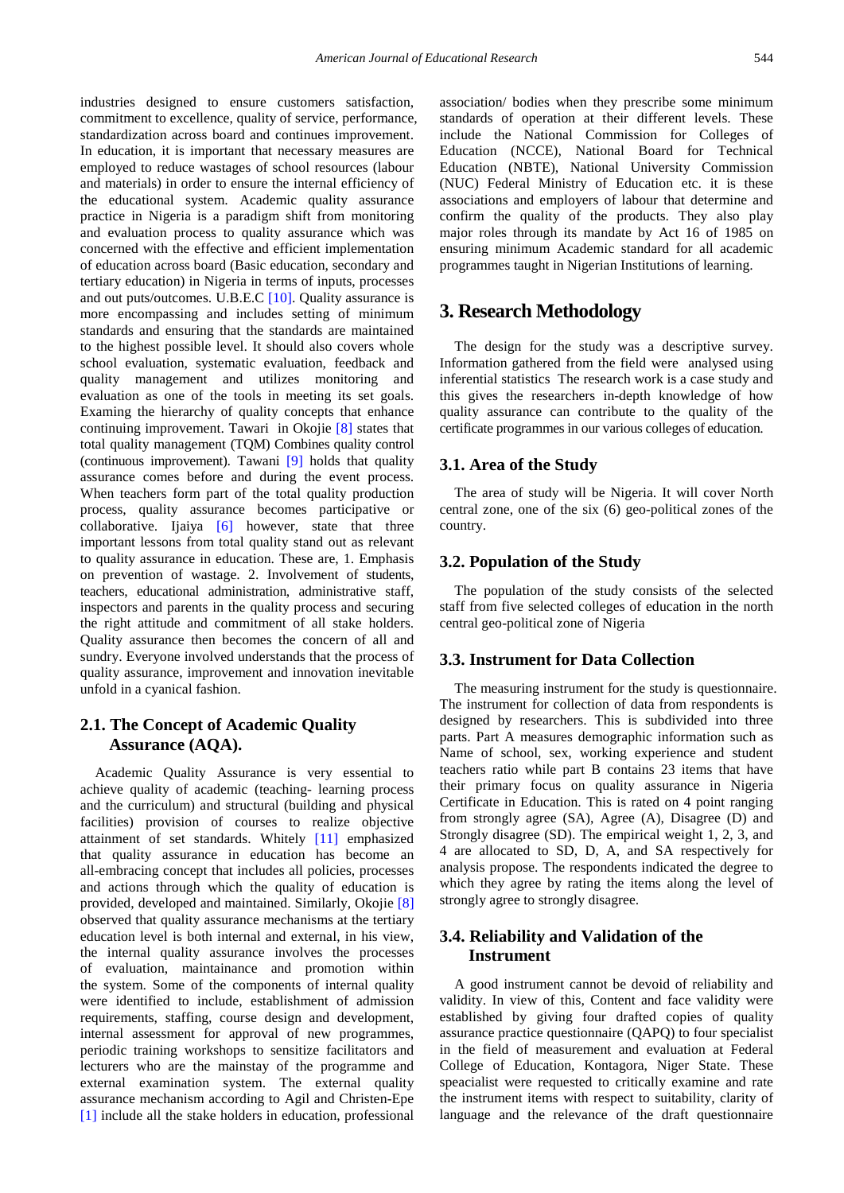industries designed to ensure customers satisfaction, commitment to excellence, quality of service, performance, standardization across board and continues improvement. In education, it is important that necessary measures are employed to reduce wastages of school resources (labour and materials) in order to ensure the internal efficiency of the educational system. Academic quality assurance practice in Nigeria is a paradigm shift from monitoring and evaluation process to quality assurance which was concerned with the effective and efficient implementation of education across board (Basic education, secondary and tertiary education) in Nigeria in terms of inputs, processes and out puts/outcomes. U.B.E.C [\[10\].](#page-5-0) Quality assurance is more encompassing and includes setting of minimum standards and ensuring that the standards are maintained to the highest possible level. It should also covers whole school evaluation, systematic evaluation, feedback and quality management and utilizes monitoring and evaluation as one of the tools in meeting its set goals. Examing the hierarchy of quality concepts that enhance continuing improvement. Tawari in Okojie [\[8\]](#page-4-5) states that total quality management (TQM) Combines quality control (continuous improvement). Tawani [\[9\]](#page-4-6) holds that quality assurance comes before and during the event process. When teachers form part of the total quality production process, quality assurance becomes participative or collaborative. Ijaiya [\[6\]](#page-4-7) however, state that three important lessons from total quality stand out as relevant to quality assurance in education. These are, 1. Emphasis on prevention of wastage. 2. Involvement of students, teachers, educational administration, administrative staff, inspectors and parents in the quality process and securing the right attitude and commitment of all stake holders. Quality assurance then becomes the concern of all and sundry. Everyone involved understands that the process of quality assurance, improvement and innovation inevitable unfold in a cyanical fashion.

# **2.1. The Concept of Academic Quality Assurance (AQA).**

Academic Quality Assurance is very essential to achieve quality of academic (teaching- learning process and the curriculum) and structural (building and physical facilities) provision of courses to realize objective attainment of set standards. Whitely [\[11\]](#page-5-1) emphasized that quality assurance in education has become an all-embracing concept that includes all policies, processes and actions through which the quality of education is provided, developed and maintained. Similarly, Okojie [\[8\]](#page-4-5) observed that quality assurance mechanisms at the tertiary education level is both internal and external, in his view, the internal quality assurance involves the processes of evaluation, maintainance and promotion within the system. Some of the components of internal quality were identified to include, establishment of admission requirements, staffing, course design and development, internal assessment for approval of new programmes, periodic training workshops to sensitize facilitators and lecturers who are the mainstay of the programme and external examination system. The external quality assurance mechanism according to Agil and Christen-Epe [\[1\]](#page-4-8) include all the stake holders in education, professional

association/ bodies when they prescribe some minimum standards of operation at their different levels. These include the National Commission for Colleges of Education (NCCE), National Board for Technical Education (NBTE), National University Commission (NUC) Federal Ministry of Education etc. it is these associations and employers of labour that determine and confirm the quality of the products. They also play major roles through its mandate by Act 16 of 1985 on ensuring minimum Academic standard for all academic programmes taught in Nigerian Institutions of learning.

# **3. Research Methodology**

The design for the study was a descriptive survey. Information gathered from the field were analysed using inferential statistics The research work is a case study and this gives the researchers in-depth knowledge of how quality assurance can contribute to the quality of the certificate programmes in our various colleges of education.

## **3.1. Area of the Study**

The area of study will be Nigeria. It will cover North central zone, one of the six (6) geo-political zones of the country.

## **3.2. Population of the Study**

The population of the study consists of the selected staff from five selected colleges of education in the north central geo-political zone of Nigeria

## **3.3. Instrument for Data Collection**

The measuring instrument for the study is questionnaire. The instrument for collection of data from respondents is designed by researchers. This is subdivided into three parts. Part A measures demographic information such as Name of school, sex, working experience and student teachers ratio while part B contains 23 items that have their primary focus on quality assurance in Nigeria Certificate in Education. This is rated on 4 point ranging from strongly agree (SA), Agree (A), Disagree (D) and Strongly disagree (SD). The empirical weight 1, 2, 3, and 4 are allocated to SD, D, A, and SA respectively for analysis propose. The respondents indicated the degree to which they agree by rating the items along the level of strongly agree to strongly disagree.

# **3.4. Reliability and Validation of the Instrument**

A good instrument cannot be devoid of reliability and validity. In view of this, Content and face validity were established by giving four drafted copies of quality assurance practice questionnaire (QAPQ) to four specialist in the field of measurement and evaluation at Federal College of Education, Kontagora, Niger State. These speacialist were requested to critically examine and rate the instrument items with respect to suitability, clarity of language and the relevance of the draft questionnaire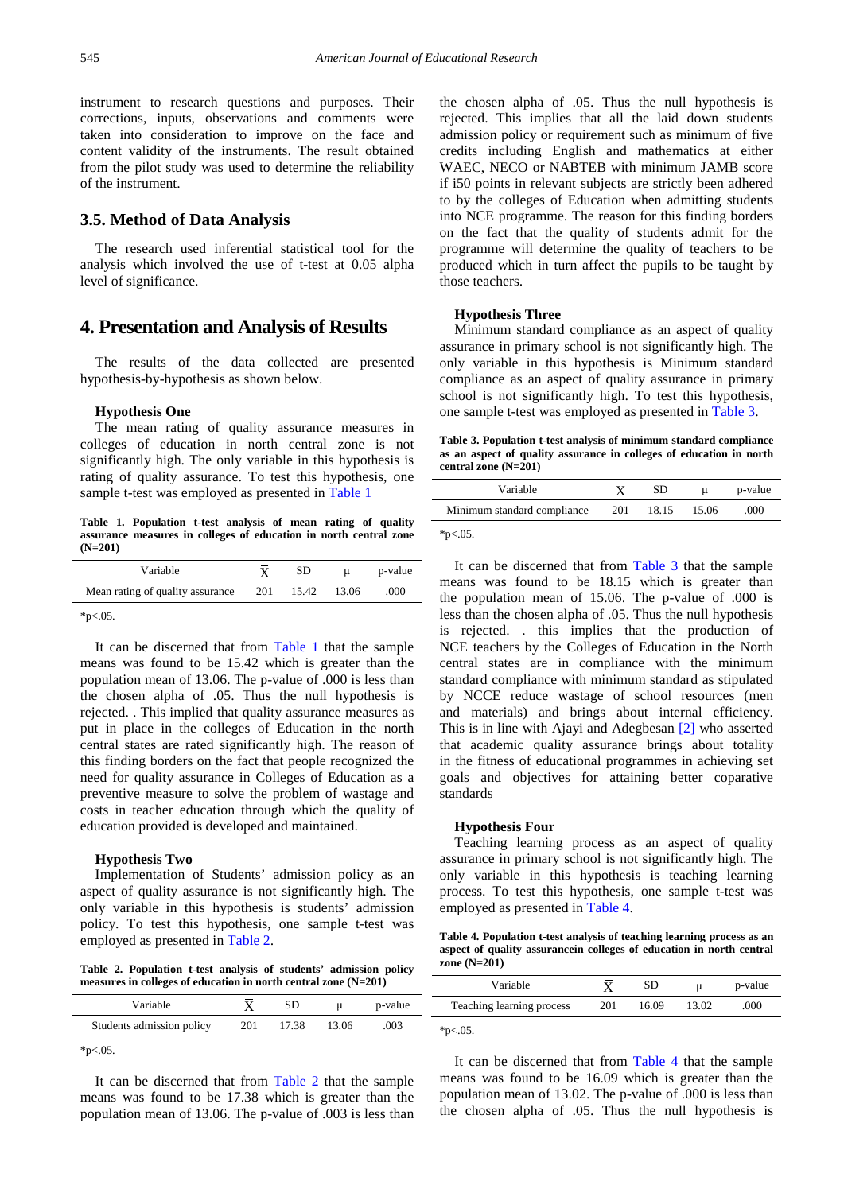instrument to research questions and purposes. Their corrections, inputs, observations and comments were taken into consideration to improve on the face and content validity of the instruments. The result obtained from the pilot study was used to determine the reliability of the instrument.

## **3.5. Method of Data Analysis**

The research used inferential statistical tool for the analysis which involved the use of t-test at 0.05 alpha level of significance.

# **4. Presentation and Analysis of Results**

The results of the data collected are presented hypothesis-by-hypothesis as shown below.

#### **Hypothesis One**

The mean rating of quality assurance measures in colleges of education in north central zone is not significantly high. The only variable in this hypothesis is rating of quality assurance. To test this hypothesis, one sample t-test was employed as presented in [Table 1](#page-3-0)

**Table 1. Population t-test analysis of mean rating of quality assurance measures in colleges of education in north central zone (N=201)**

<span id="page-3-0"></span>

| Variable                         |     | SD.   |       | p-value |
|----------------------------------|-----|-------|-------|---------|
| Mean rating of quality assurance | 201 | 15.42 | 13.06 | .000    |

 $*_{p<.05}$ .

It can be discerned that from [Table 1](#page-3-0) that the sample means was found to be 15.42 which is greater than the population mean of 13.06. The p-value of .000 is less than the chosen alpha of .05. Thus the null hypothesis is rejected. . This implied that quality assurance measures as put in place in the colleges of Education in the north central states are rated significantly high. The reason of this finding borders on the fact that people recognized the need for quality assurance in Colleges of Education as a preventive measure to solve the problem of wastage and costs in teacher education through which the quality of education provided is developed and maintained.

#### **Hypothesis Two**

Implementation of Students' admission policy as an aspect of quality assurance is not significantly high. The only variable in this hypothesis is students' admission policy. To test this hypothesis, one sample t-test was employed as presented in [Table 2.](#page-3-1)

**Table 2. Population t-test analysis of students' admission policy measures in colleges of education in north central zone (N=201)**

<span id="page-3-1"></span>

| Variable                  |     | SD    |       | p-value |
|---------------------------|-----|-------|-------|---------|
| Students admission policy | 201 | 17.38 | 13.06 | .003    |
| $*_{p<.05}$ .             |     |       |       |         |

It can be discerned that from [Table 2](#page-3-1) that the sample means was found to be 17.38 which is greater than the population mean of 13.06. The p-value of .003 is less than the chosen alpha of .05. Thus the null hypothesis is rejected. This implies that all the laid down students admission policy or requirement such as minimum of five credits including English and mathematics at either WAEC, NECO or NABTEB with minimum JAMB score if i50 points in relevant subjects are strictly been adhered to by the colleges of Education when admitting students into NCE programme. The reason for this finding borders on the fact that the quality of students admit for the programme will determine the quality of teachers to be produced which in turn affect the pupils to be taught by those teachers.

#### **Hypothesis Three**

Minimum standard compliance as an aspect of quality assurance in primary school is not significantly high. The only variable in this hypothesis is Minimum standard compliance as an aspect of quality assurance in primary school is not significantly high. To test this hypothesis, one sample t-test was employed as presented in [Table 3.](#page-3-2)

**Table 3. Population t-test analysis of minimum standard compliance as an aspect of quality assurance in colleges of education in north central zone (N=201)**

<span id="page-3-2"></span>

| Variable                    |     | SD    |       | p-value |
|-----------------------------|-----|-------|-------|---------|
| Minimum standard compliance | 201 | 18.15 | 15.06 | .000    |

 $*p<.05$ .

It can be discerned that from [Table 3](#page-3-2) that the sample means was found to be 18.15 which is greater than the population mean of 15.06. The p-value of .000 is less than the chosen alpha of .05. Thus the null hypothesis is rejected. . this implies that the production of NCE teachers by the Colleges of Education in the North central states are in compliance with the minimum standard compliance with minimum standard as stipulated by NCCE reduce wastage of school resources (men and materials) and brings about internal efficiency. This is in line with Ajayi and Adegbesan [\[2\]](#page-4-2) who asserted that academic quality assurance brings about totality in the fitness of educational programmes in achieving set goals and objectives for attaining better coparative standards

#### **Hypothesis Four**

Teaching learning process as an aspect of quality assurance in primary school is not significantly high. The only variable in this hypothesis is teaching learning process. To test this hypothesis, one sample t-test was employed as presented in [Table 4.](#page-3-3)

**Table 4. Population t-test analysis of teaching learning process as an aspect of quality assurancein colleges of education in north central zone (N=201)**

<span id="page-3-3"></span>

| Variable                  |     | SD    |       | p-value |
|---------------------------|-----|-------|-------|---------|
| Teaching learning process | 201 | 16.09 | 13.02 | .000    |
|                           |     |       |       |         |

 $*p<.05$ .

It can be discerned that from [Table 4](#page-3-3) that the sample means was found to be 16.09 which is greater than the population mean of 13.02. The p-value of .000 is less than the chosen alpha of .05. Thus the null hypothesis is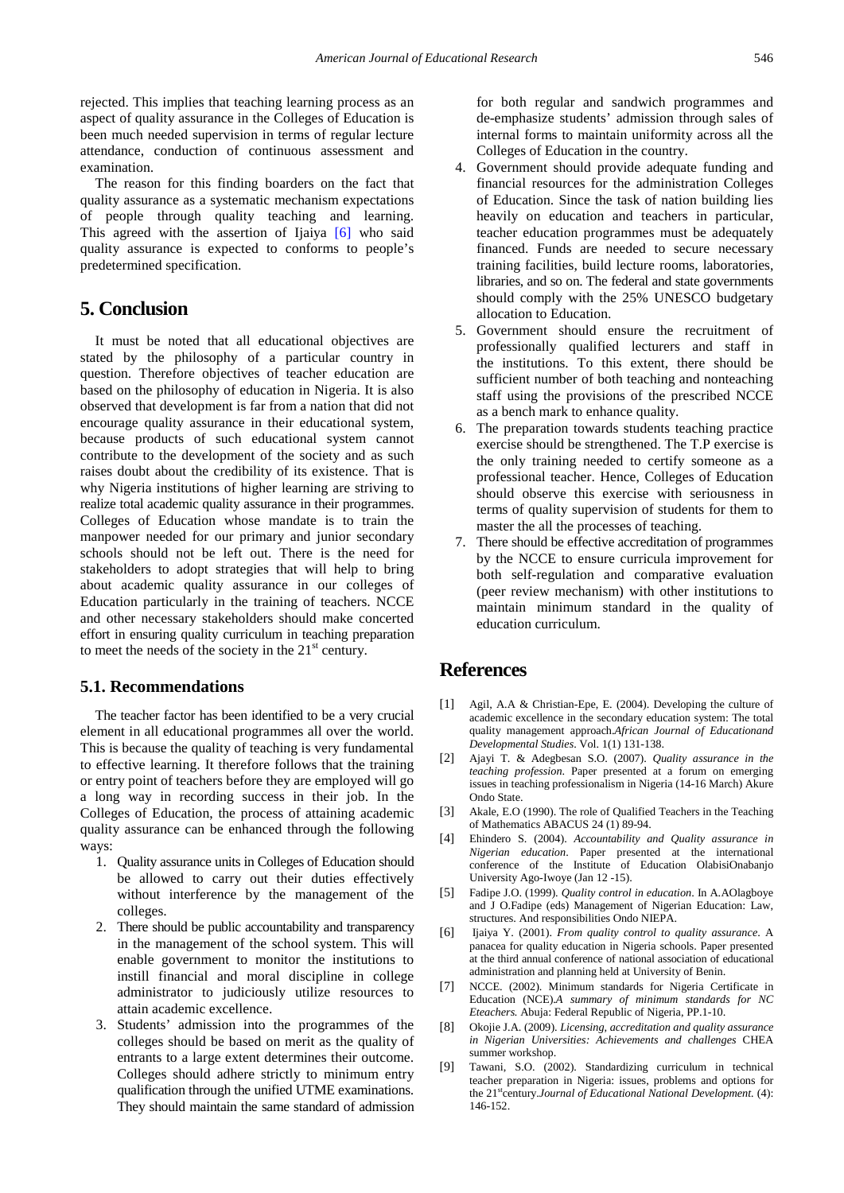rejected. This implies that teaching learning process as an aspect of quality assurance in the Colleges of Education is been much needed supervision in terms of regular lecture attendance, conduction of continuous assessment and examination.

The reason for this finding boarders on the fact that quality assurance as a systematic mechanism expectations of people through quality teaching and learning. This agreed with the assertion of Ijaiya [\[6\]](#page-4-7) who said quality assurance is expected to conforms to people's predetermined specification.

# **5. Conclusion**

It must be noted that all educational objectives are stated by the philosophy of a particular country in question. Therefore objectives of teacher education are based on the philosophy of education in Nigeria. It is also observed that development is far from a nation that did not encourage quality assurance in their educational system, because products of such educational system cannot contribute to the development of the society and as such raises doubt about the credibility of its existence. That is why Nigeria institutions of higher learning are striving to realize total academic quality assurance in their programmes. Colleges of Education whose mandate is to train the manpower needed for our primary and junior secondary schools should not be left out. There is the need for stakeholders to adopt strategies that will help to bring about academic quality assurance in our colleges of Education particularly in the training of teachers. NCCE and other necessary stakeholders should make concerted effort in ensuring quality curriculum in teaching preparation to meet the needs of the society in the  $21<sup>st</sup>$  century.

# **5.1. Recommendations**

The teacher factor has been identified to be a very crucial element in all educational programmes all over the world. This is because the quality of teaching is very fundamental to effective learning. It therefore follows that the training or entry point of teachers before they are employed will go a long way in recording success in their job. In the Colleges of Education, the process of attaining academic quality assurance can be enhanced through the following ways:

- 1. Quality assurance units in Colleges of Education should be allowed to carry out their duties effectively without interference by the management of the colleges.
- 2. There should be public accountability and transparency in the management of the school system. This will enable government to monitor the institutions to instill financial and moral discipline in college administrator to judiciously utilize resources to attain academic excellence.
- 3. Students' admission into the programmes of the colleges should be based on merit as the quality of entrants to a large extent determines their outcome. Colleges should adhere strictly to minimum entry qualification through the unified UTME examinations. They should maintain the same standard of admission

for both regular and sandwich programmes and de-emphasize students' admission through sales of internal forms to maintain uniformity across all the Colleges of Education in the country.

- 4. Government should provide adequate funding and financial resources for the administration Colleges of Education. Since the task of nation building lies heavily on education and teachers in particular, teacher education programmes must be adequately financed. Funds are needed to secure necessary training facilities, build lecture rooms, laboratories, libraries, and so on. The federal and state governments should comply with the 25% UNESCO budgetary allocation to Education.
- 5. Government should ensure the recruitment of professionally qualified lecturers and staff in the institutions. To this extent, there should be sufficient number of both teaching and nonteaching staff using the provisions of the prescribed NCCE as a bench mark to enhance quality.
- 6. The preparation towards students teaching practice exercise should be strengthened. The T.P exercise is the only training needed to certify someone as a professional teacher. Hence, Colleges of Education should observe this exercise with seriousness in terms of quality supervision of students for them to master the all the processes of teaching.
- 7. There should be effective accreditation of programmes by the NCCE to ensure curricula improvement for both self-regulation and comparative evaluation (peer review mechanism) with other institutions to maintain minimum standard in the quality of education curriculum.

# **References**

- <span id="page-4-8"></span>[1] Agil, A.A & Christian-Epe, E. (2004). Developing the culture of academic excellence in the secondary education system: The total quality management approach.*African Journal of Educationand Developmental Studies*. Vol. 1(1) 131-138.
- <span id="page-4-2"></span>[2] Ajayi T. & Adegbesan S.O. (2007). *Quality assurance in the teaching profession*. Paper presented at a forum on emerging issues in teaching professionalism in Nigeria (14-16 March) Akure Ondo State.
- <span id="page-4-0"></span>[3] Akale, E.O (1990). The role of Qualified Teachers in the Teaching of Mathematics ABACUS 24 (1) 89-94.
- <span id="page-4-3"></span>[4] Ehindero S. (2004). *Accountability and Quality assurance in Nigerian education*. Paper presented at the international conference of the Institute of Education OlabisiOnabanjo University Ago-Iwoye (Jan 12 -15).
- <span id="page-4-1"></span>[5] Fadipe J.O. (1999). *Quality control in education*. In A.AOlagboye and J O.Fadipe (eds) Management of Nigerian Education: Law, structures. And responsibilities Ondo NIEPA.
- <span id="page-4-7"></span>[6] Ijaiya Y. (2001). *From quality control to quality assurance*. A panacea for quality education in Nigeria schools. Paper presented at the third annual conference of national association of educational administration and planning held at University of Benin.
- <span id="page-4-4"></span>[7] NCCE. (2002). Minimum standards for Nigeria Certificate in Education (NCE).*A summary of minimum standards for NC Eteachers.* Abuja: Federal Republic of Nigeria, PP.1-10.
- <span id="page-4-5"></span>[8] Okojie J.A. (2009). *Licensing, accreditation and quality assurance in Nigerian Universities: Achievements and challenges* CHEA summer workshop.
- <span id="page-4-6"></span>[9] Tawani, S.O. (2002). Standardizing curriculum in technical teacher preparation in Nigeria: issues, problems and options for the 21<sup>st</sup>century.*Journal of Educational National Development*. (4): 146-152.